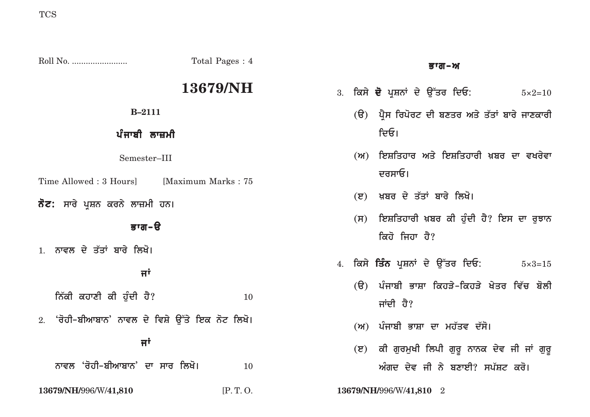|                                                  | Total Pages: 4 | ਭਾਗ–ਅ                                                           |
|--------------------------------------------------|----------------|-----------------------------------------------------------------|
|                                                  | 13679/NH       | 3. ਕਿਸੇ <b>ਦੋ</b> ਪ੍ਰਸ਼ਨਾਂ ਦੇ ਉੱਤਰ ਦਿਓ:<br>$5 \times 2 = 10$    |
| $B - 2111$                                       |                | (ੳ) ਪ੍ਰੈਸ ਰਿਪੋਰਟ ਦੀ ਬਣਤਰ ਅਤੇ ਤੱਤਾਂ ਬਾਰੇ ਜਾਣਕਾਰੀ                 |
| ਪੰਜਾਬੀ ਲਾਜ਼ਮੀ                                    |                | ਦਿਓ।                                                            |
| Semester-III                                     |                | (ਅ) ਇਸ਼ਤਿਹਾਰ ਅਤੇ ਇਸ਼ਤਿਹਾਰੀ ਖ਼ਬਰ ਦਾ ਵਖਰੇਵਾ                       |
| Time Allowed: 3 Hours [Maximum Marks: 75]        |                | ਦਰਸਾਓ।                                                          |
| ਨੋਟ: ਸਾਰੇ ਪ੍ਰਸ਼ਨ ਕਰਨੇ ਲਾਜ਼ਮੀ ਹਨ।                 |                | (ੲ) ਖ਼ਬਰ ਦੇ ਤੱਤਾਂ ਬਾਰੇ ਲਿਖੋ।                                    |
| ਭਾਗ-ੳ                                            |                | ਇਸ਼ਤਿਹਾਰੀ ਖ਼ਬਰ ਕੀ ਹੁੰਦੀ ਹੈ? ਇਸ ਦਾ ਰੁਝਾਨ<br>(H)<br>ਕਿਹੋ ਜਿਹਾ ਹੈ? |
| 1. ਨਾਵਲ ਦੇ ਤੱਤਾਂ ਬਾਰੇ ਲਿਖੋ।                      |                |                                                                 |
| ਜਾਂ                                              |                | 4. ਕਿਸੇ <b>ਤਿੰਨ</b> ਪੁਸ਼ਨਾਂ ਦੇ ਉੱਤਰ ਦਿਓ:<br>$5 \times 3 = 15$   |
| ਨਿੱਕੀ ਕਹਾਣੀ ਕੀ ਹੁੰਦੀ ਹੈ?                         | 10             | (ੳ) ਪੰਜਾਬੀ ਭਾਸ਼ਾ ਕਿਹੜੇ-ਕਿਹੜੇ ਖੇਤਰ ਵਿੱਚ ਬੋਲੀ<br>ਜਾਂਦੀ ਹੈ?        |
| 2. 'ਰੋਹੀ–ਬੀਆਬਾਨ' ਨਾਵਲ ਦੇ ਵਿਸ਼ੇ ਉੱਤੇ ਇਕ ਨੋਟ ਲਿਖੋ। |                | (ਅ) ਪੰਜਾਬੀ ਭਾਸ਼ਾ ਦਾ ਮਹੱਤਵ ਦੱਸੋ।                                 |
| ਜਾਂ                                              |                | (ੲ) ਕੀ ਗੁਰਮੁਖੀ ਲਿਪੀ ਗੁਰੂ ਨਾਨਕ ਦੇਵ ਜੀ ਜਾਂ ਗੁਰੂ                   |
| ਨਾਵਲ 'ਰੋਹੀ–ਬੀਆਬਾਨ' ਦਾ ਸਾਰ ਲਿਖੋ।                  | 10             | ਅੰਗਦ ਦੇਵ ਜੀ ਨੇ ਬਣਾਈ? ਸਪੱਸ਼ਟ ਕਰੋ।                                |
| 13679/NH/996/W/41,810                            | [P.T. O.       | 13679/NH/996/W/41,810 2                                         |